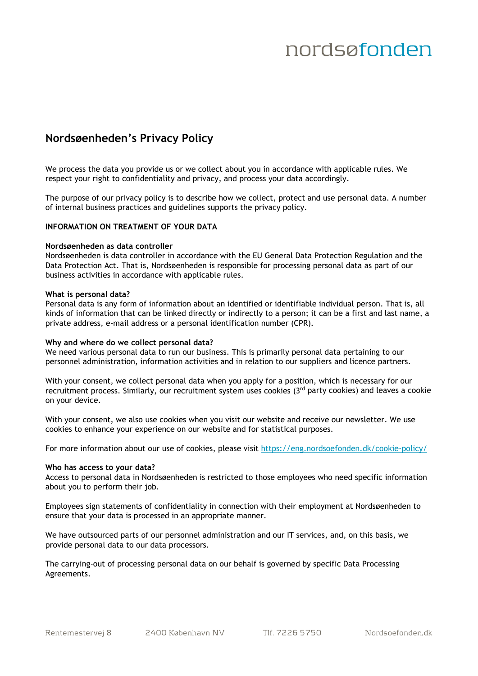### **Nordsøenheden's Privacy Policy**

We process the data you provide us or we collect about you in accordance with applicable rules. We respect your right to confidentiality and privacy, and process your data accordingly.

The purpose of our privacy policy is to describe how we collect, protect and use personal data. A number of internal business practices and guidelines supports the privacy policy.

### **INFORMATION ON TREATMENT OF YOUR DATA**

#### **Nordsøenheden as data controller**

Nordsøenheden is data controller in accordance with the EU General Data Protection Regulation and the Data Protection Act. That is, Nordsøenheden is responsible for processing personal data as part of our business activities in accordance with applicable rules.

#### **What is personal data?**

Personal data is any form of information about an identified or identifiable individual person. That is, all kinds of information that can be linked directly or indirectly to a person; it can be a first and last name, a private address, e-mail address or a personal identification number (CPR).

#### **Why and where do we collect personal data?**

We need various personal data to run our business. This is primarily personal data pertaining to our personnel administration, information activities and in relation to our suppliers and licence partners.

With your consent, we collect personal data when you apply for a position, which is necessary for our recruitment process. Similarly, our recruitment system uses cookies (3rd party cookies) and leaves a cookie on your device.

With your consent, we also use cookies when you visit our website and receive our newsletter. We use cookies to enhance your experience on our website and for statistical purposes.

For more information about our use of cookies, please visit<https://eng.nordsoefonden.dk/cookie-policy/>

#### **Who has access to your data?**

Access to personal data in Nordsøenheden is restricted to those employees who need specific information about you to perform their job.

Employees sign statements of confidentiality in connection with their employment at Nordsøenheden to ensure that your data is processed in an appropriate manner.

We have outsourced parts of our personnel administration and our IT services, and, on this basis, we provide personal data to our data processors.

The carrying-out of processing personal data on our behalf is governed by specific Data Processing Agreements.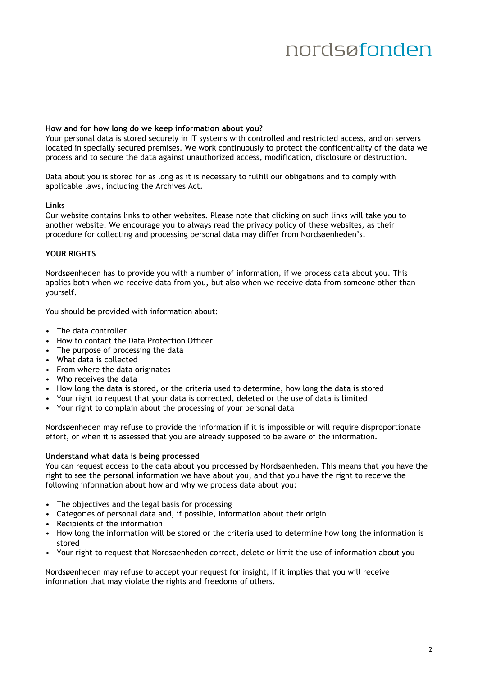#### **How and for how long do we keep information about you?**

Your personal data is stored securely in IT systems with controlled and restricted access, and on servers located in specially secured premises. We work continuously to protect the confidentiality of the data we process and to secure the data against unauthorized access, modification, disclosure or destruction.

Data about you is stored for as long as it is necessary to fulfill our obligations and to comply with applicable laws, including the Archives Act.

#### **Links**

Our website contains links to other websites. Please note that clicking on such links will take you to another website. We encourage you to always read the privacy policy of these websites, as their procedure for collecting and processing personal data may differ from Nordsøenheden's.

#### **YOUR RIGHTS**

Nordsøenheden has to provide you with a number of information, if we process data about you. This applies both when we receive data from you, but also when we receive data from someone other than yourself.

You should be provided with information about:

- The data controller
- How to contact the Data Protection Officer
- The purpose of processing the data
- What data is collected
- From where the data originates
- Who receives the data
- How long the data is stored, or the criteria used to determine, how long the data is stored
- Your right to request that your data is corrected, deleted or the use of data is limited
- Your right to complain about the processing of your personal data

Nordsøenheden may refuse to provide the information if it is impossible or will require disproportionate effort, or when it is assessed that you are already supposed to be aware of the information.

#### **Understand what data is being processed**

You can request access to the data about you processed by Nordsøenheden. This means that you have the right to see the personal information we have about you, and that you have the right to receive the following information about how and why we process data about you:

- The objectives and the legal basis for processing
- Categories of personal data and, if possible, information about their origin
- Recipients of the information
- How long the information will be stored or the criteria used to determine how long the information is stored
- Your right to request that Nordsøenheden correct, delete or limit the use of information about you

Nordsøenheden may refuse to accept your request for insight, if it implies that you will receive information that may violate the rights and freedoms of others.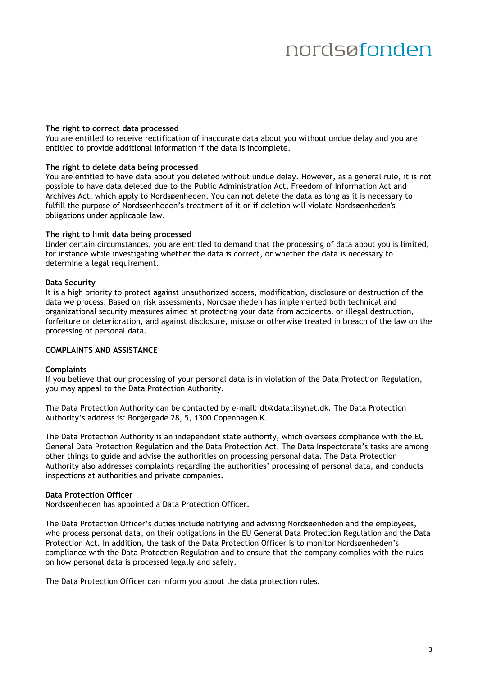#### **The right to correct data processed**

You are entitled to receive rectification of inaccurate data about you without undue delay and you are entitled to provide additional information if the data is incomplete.

#### **The right to delete data being processed**

You are entitled to have data about you deleted without undue delay. However, as a general rule, it is not possible to have data deleted due to the Public Administration Act, Freedom of Information Act and Archives Act, which apply to Nordsøenheden. You can not delete the data as long as it is necessary to fulfill the purpose of Nordsøenheden's treatment of it or if deletion will violate Nordsøenheden's obligations under applicable law.

#### **The right to limit data being processed**

Under certain circumstances, you are entitled to demand that the processing of data about you is limited, for instance while investigating whether the data is correct, or whether the data is necessary to determine a legal requirement.

#### **Data Security**

It is a high priority to protect against unauthorized access, modification, disclosure or destruction of the data we process. Based on risk assessments, Nordsøenheden has implemented both technical and organizational security measures aimed at protecting your data from accidental or illegal destruction, forfeiture or deterioration, and against disclosure, misuse or otherwise treated in breach of the law on the processing of personal data.

#### **COMPLAINTS AND ASSISTANCE**

#### **Complaints**

If you believe that our processing of your personal data is in violation of the Data Protection Regulation, you may appeal to the Data Protection Authority.

The Data Protection Authority can be contacted by e-mail: [dt@datatilsynet.dk](mailto:dt@datatilsynet.dk). The Data Protection Authority's address is: Borgergade 28, 5, 1300 Copenhagen K.

The Data Protection Authority is an independent state authority, which oversees compliance with the EU General Data Protection Regulation and the Data Protection Act. The Data Inspectorate's tasks are among other things to guide and advise the authorities on processing personal data. The Data Protection Authority also addresses complaints regarding the authorities' processing of personal data, and conducts inspections at authorities and private companies.

#### **Data Protection Officer**

Nordsøenheden has appointed a Data Protection Officer.

The Data Protection Officer's duties include notifying and advising Nordsøenheden and the employees, who process personal data, on their obligations in the EU General Data Protection Regulation and the Data Protection Act. In addition, the task of the Data Protection Officer is to monitor Nordsøenheden's compliance with the Data Protection Regulation and to ensure that the company complies with the rules on how personal data is processed legally and safely.

The Data Protection Officer can inform you about the data protection rules.